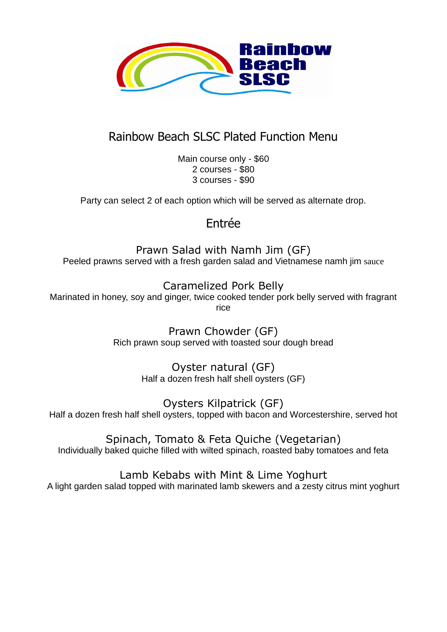

# Rainbow Beach SLSC Plated Function Menu

Main course only - \$60 2 courses - \$80 3 courses - \$90

Party can select 2 of each option which will be served as alternate drop.

## Entrée

Prawn Salad with Namh Jim (GF) Peeled prawns served with a fresh garden salad and Vietnamese namh jim sauce

Caramelized Pork Belly Marinated in honey, soy and ginger, twice cooked tender pork belly served with fragrant rice

> Prawn Chowder (GF) Rich prawn soup served with toasted sour dough bread

> > Oyster natural (GF) Half a dozen fresh half shell oysters (GF)

Oysters Kilpatrick (GF) Half a dozen fresh half shell oysters, topped with bacon and Worcestershire, served hot

Spinach, Tomato & Feta Quiche (Vegetarian) Individually baked quiche filled with wilted spinach, roasted baby tomatoes and feta

Lamb Kebabs with Mint & Lime Yoghurt

A light garden salad topped with marinated lamb skewers and a zesty citrus mint yoghurt